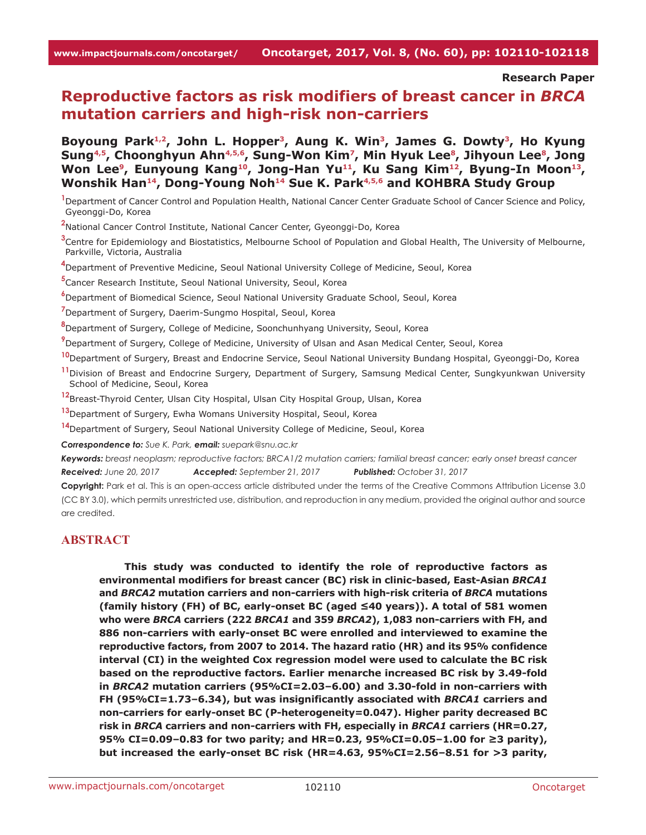**Research Paper**

# **Reproductive factors as risk modifiers of breast cancer in** *BRCA* **mutation carriers and high-risk non-carriers**

Boyoung Park<sup>1,2</sup>, John L. Hopper<sup>3</sup>, Aung K. Win<sup>3</sup>, James G. Dowty<sup>3</sup>, Ho Kyung Sung<sup>4,5</sup>, Choonghyun Ahn<sup>4,5,6</sup>, Sung-Won Kim<sup>7</sup>, Min Hyuk Lee<sup>8</sup>, Jihyoun Lee<sup>8</sup>, Jong Won Lee<sup>9</sup>, Eunyoung Kang<sup>10</sup>, Jong-Han Yu<sup>11</sup>, Ku Sang Kim<sup>12</sup>, Byung-In Moon<sup>13</sup>, **Wonshik Han14, Dong-Young Noh14 Sue K. Park4,5,6 and KOHBRA Study Group**

<sup>1</sup> Department of Cancer Control and Population Health, National Cancer Center Graduate School of Cancer Science and Policy, Gyeonggi-Do, Korea

**2** National Cancer Control Institute, National Cancer Center, Gyeonggi-Do, Korea

**3** Centre for Epidemiology and Biostatistics, Melbourne School of Population and Global Health, The University of Melbourne, Parkville, Victoria, Australia

**4** Department of Preventive Medicine, Seoul National University College of Medicine, Seoul, Korea

**5** Cancer Research Institute, Seoul National University, Seoul, Korea

**6** Department of Biomedical Science, Seoul National University Graduate School, Seoul, Korea

**7** Department of Surgery, Daerim-Sungmo Hospital, Seoul, Korea

**8** Department of Surgery, College of Medicine, Soonchunhyang University, Seoul, Korea

**9** Department of Surgery, College of Medicine, University of Ulsan and Asan Medical Center, Seoul, Korea

**<sup>10</sup>**Department of Surgery, Breast and Endocrine Service, Seoul National University Bundang Hospital, Gyeonggi-Do, Korea

**<sup>11</sup>**Division of Breast and Endocrine Surgery, Department of Surgery, Samsung Medical Center, Sungkyunkwan University School of Medicine, Seoul, Korea

**<sup>12</sup>**Breast-Thyroid Center, Ulsan City Hospital, Ulsan City Hospital Group, Ulsan, Korea

**<sup>13</sup>**Department of Surgery, Ewha Womans University Hospital, Seoul, Korea

**<sup>14</sup>**Department of Surgery, Seoul National University College of Medicine, Seoul, Korea

*Correspondence to: Sue K. Park, email: suepark@snu.ac.kr*

*Keywords: breast neoplasm; reproductive factors; BRCA1/2 mutation carriers; familial breast cancer; early onset breast cancer Received: June 20, 2017 Accepted: September 21, 2017 Published: October 31, 2017*

**Copyright:** Park et al. This is an open-access article distributed under the terms of the Creative Commons Attribution License 3.0 (CC BY 3.0), which permits unrestricted use, distribution, and reproduction in any medium, provided the original author and source are credited.

# **ABSTRACT**

**This study was conducted to identify the role of reproductive factors as environmental modifiers for breast cancer (BC) risk in clinic-based, East-Asian** *BRCA1* **and** *BRCA2* **mutation carriers and non-carriers with high-risk criteria of** *BRCA* **mutations (family history (FH) of BC, early-onset BC (aged ≤40 years)). A total of 581 women who were** *BRCA* **carriers (222** *BRCA1* **and 359** *BRCA2***), 1,083 non-carriers with FH, and 886 non-carriers with early-onset BC were enrolled and interviewed to examine the reproductive factors, from 2007 to 2014. The hazard ratio (HR) and its 95% confidence interval (CI) in the weighted Cox regression model were used to calculate the BC risk based on the reproductive factors. Earlier menarche increased BC risk by 3.49-fold in** *BRCA2* **mutation carriers (95%CI=2.03–6.00) and 3.30-fold in non-carriers with FH (95%CI=1.73–6.34), but was insignificantly associated with** *BRCA1* **carriers and non-carriers for early-onset BC (P-heterogeneity=0.047). Higher parity decreased BC risk in** *BRCA* **carriers and non-carriers with FH, especially in** *BRCA1* **carriers (HR=0.27, 95% CI=0.09–0.83 for two parity; and HR=0.23, 95%CI=0.05–1.00 for ≥3 parity), but increased the early-onset BC risk (HR=4.63, 95%CI=2.56–8.51 for >3 parity,**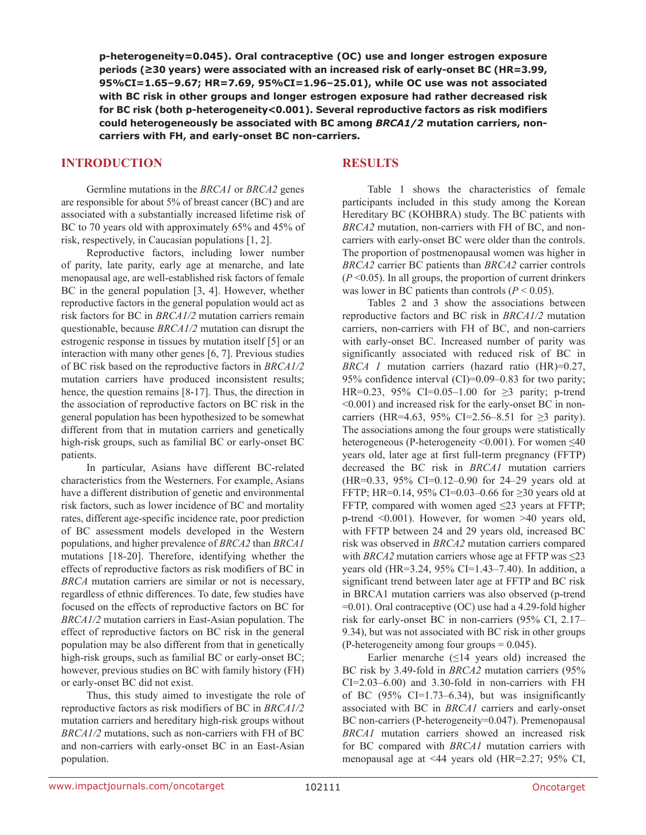**p-heterogeneity=0.045). Oral contraceptive (OC) use and longer estrogen exposure periods (≥30 years) were associated with an increased risk of early-onset BC (HR=3.99, 95%CI=1.65–9.67; HR=7.69, 95%CI=1.96–25.01), while OC use was not associated with BC risk in other groups and longer estrogen exposure had rather decreased risk for BC risk (both p-heterogeneity<0.001). Several reproductive factors as risk modifiers could heterogeneously be associated with BC among** *BRCA1/2* **mutation carriers, noncarriers with FH, and early-onset BC non-carriers.**

# **INTRODUCTION**

# **RESULTS**

Germline mutations in the *BRCA1* or *BRCA2* genes are responsible for about 5% of breast cancer (BC) and are associated with a substantially increased lifetime risk of BC to 70 years old with approximately 65% and 45% of risk, respectively, in Caucasian populations [1, 2].

Reproductive factors, including lower number of parity, late parity, early age at menarche, and late menopausal age, are well-established risk factors of female BC in the general population [3, 4]. However, whether reproductive factors in the general population would act as risk factors for BC in *BRCA1/2* mutation carriers remain questionable, because *BRCA1/2* mutation can disrupt the estrogenic response in tissues by mutation itself [5] or an interaction with many other genes [6, 7]. Previous studies of BC risk based on the reproductive factors in *BRCA1/2* mutation carriers have produced inconsistent results; hence, the question remains [8-17]. Thus, the direction in the association of reproductive factors on BC risk in the general population has been hypothesized to be somewhat different from that in mutation carriers and genetically high-risk groups, such as familial BC or early-onset BC patients.

In particular, Asians have different BC-related characteristics from the Westerners. For example, Asians have a different distribution of genetic and environmental risk factors, such as lower incidence of BC and mortality rates, different age-specific incidence rate, poor prediction of BC assessment models developed in the Western populations, and higher prevalence of *BRCA2* than *BRCA1* mutations [18-20]. Therefore, identifying whether the effects of reproductive factors as risk modifiers of BC in *BRCA* mutation carriers are similar or not is necessary, regardless of ethnic differences. To date, few studies have focused on the effects of reproductive factors on BC for *BRCA1/2* mutation carriers in East-Asian population. The effect of reproductive factors on BC risk in the general population may be also different from that in genetically high-risk groups, such as familial BC or early-onset BC; however, previous studies on BC with family history (FH) or early-onset BC did not exist.

Thus, this study aimed to investigate the role of reproductive factors as risk modifiers of BC in *BRCA1/2* mutation carriers and hereditary high-risk groups without *BRCA1/2* mutations, such as non-carriers with FH of BC and non-carriers with early-onset BC in an East-Asian population.

Table 1 shows the characteristics of female participants included in this study among the Korean Hereditary BC (KOHBRA) study. The BC patients with *BRCA2* mutation, non-carriers with FH of BC, and noncarriers with early-onset BC were older than the controls. The proportion of postmenopausal women was higher in *BRCA2* carrier BC patients than *BRCA2* carrier controls  $(P<0.05)$ . In all groups, the proportion of current drinkers was lower in BC patients than controls  $(P < 0.05)$ .

Tables 2 and 3 show the associations between reproductive factors and BC risk in *BRCA1/2* mutation carriers, non-carriers with FH of BC, and non-carriers with early-onset BC. Increased number of parity was significantly associated with reduced risk of BC in *BRCA 1* mutation carriers (hazard ratio (HR)=0.27, 95% confidence interval (CI)=0.09–0.83 for two parity; HR=0.23, 95% CI=0.05–1.00 for  $\geq$ 3 parity; p-trend <0.001) and increased risk for the early-onset BC in noncarriers (HR=4.63, 95% CI=2.56–8.51 for ≥3 parity). The associations among the four groups were statistically heterogeneous (P-heterogeneity <0.001). For women <40 years old, later age at first full-term pregnancy (FFTP) decreased the BC risk in *BRCA1* mutation carriers (HR=0.33, 95% CI=0.12–0.90 for 24–29 years old at FFTP; HR=0.14, 95% CI=0.03–0.66 for ≥30 years old at FFTP, compared with women aged  $\leq$ 23 years at FFTP; p-trend <0.001). However, for women >40 years old, with FFTP between 24 and 29 years old, increased BC risk was observed in *BRCA2* mutation carriers compared with *BRCA2* mutation carriers whose age at FFTP was  $\leq 23$ years old (HR=3.24, 95% CI=1.43–7.40). In addition, a significant trend between later age at FFTP and BC risk in BRCA1 mutation carriers was also observed (p-trend  $=0.01$ ). Oral contraceptive (OC) use had a 4.29-fold higher risk for early-onset BC in non-carriers (95% CI, 2.17– 9.34), but was not associated with BC risk in other groups  $(P-heterogeneity among four groups = 0.045)$ .

Earlier menarche  $(≤14$  years old) increased the BC risk by 3.49-fold in *BRCA2* mutation carriers (95%  $CI = 2.03 - 6.00$  and  $3.30$ -fold in non-carriers with FH of BC  $(95\%$  CI=1.73–6.34), but was insignificantly associated with BC in *BRCA1* carriers and early-onset BC non-carriers (P-heterogeneity=0.047). Premenopausal *BRCA1* mutation carriers showed an increased risk for BC compared with *BRCA1* mutation carriers with menopausal age at <44 years old (HR=2.27; 95% CI,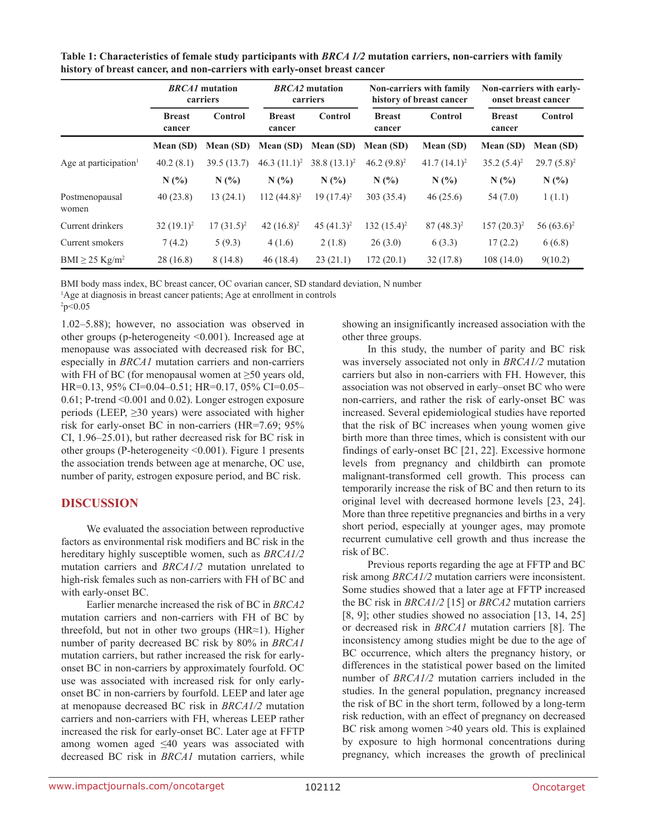|                                   | <b>BRCA1</b> mutation<br>carriers |                  | <i>BRCA2</i> mutation<br>carriers |                | <b>Non-carriers with family</b><br>history of breast cancer |                | <b>Non-carriers with early-</b><br>onset breast cancer |               |
|-----------------------------------|-----------------------------------|------------------|-----------------------------------|----------------|-------------------------------------------------------------|----------------|--------------------------------------------------------|---------------|
|                                   | <b>Breast</b><br>cancer           | Control          | <b>Breast</b><br>cancer           | <b>Control</b> | <b>Breast</b><br>cancer                                     | Control        | <b>Breast</b><br>cancer                                | Control       |
|                                   | Mean (SD)                         | <b>Mean (SD)</b> | Mean (SD)                         | Mean (SD)      | Mean (SD)                                                   | Mean (SD)      | Mean (SD)                                              | Mean (SD)     |
| Age at participation <sup>1</sup> | 40.2(8.1)                         | 39.5(13.7)       | 46.3 $(11.1)^2$                   | $38.8(13.1)^2$ | $46.2 (9.8)^2$                                              | $41.7(14.1)^2$ | $35.2(5.4)^2$                                          | $29.7(5.8)^2$ |
|                                   | N(%                               | N(%              | N(%                               | N(%            | N(%                                                         | N(%            | $N(\%)$                                                | N(%           |
| Postmenopausal<br>women           | 40(23.8)                          | 13(24.1)         | $112(44.8)^2$                     | $19(17.4)^2$   | 303 (35.4)                                                  | 46(25.6)       | 54(7.0)                                                | 1(1.1)        |
| Current drinkers                  | $32(19.1)^2$                      | $17(31.5)^2$     | 42 $(16.8)^2$                     | 45 $(41.3)^2$  | $132(15.4)^2$                                               | $87(48.3)^2$   | $157(20.3)^2$                                          | 56 $(63.6)^2$ |
| Current smokers                   | 7(4.2)                            | 5(9.3)           | 4(1.6)                            | 2(1.8)         | 26(3.0)                                                     | 6(3.3)         | 17(2.2)                                                | 6(6.8)        |
| BMI $\geq$ 25 Kg/m <sup>2</sup>   | 28(16.8)                          | 8(14.8)          | 46(18.4)                          | 23(21.1)       | 172(20.1)                                                   | 32(17.8)       | 108(14.0)                                              | 9(10.2)       |

**Table 1: Characteristics of female study participants with** *BRCA 1/2* **mutation carriers, non-carriers with family history of breast cancer, and non-carriers with early-onset breast cancer**

BMI body mass index, BC breast cancer, OC ovarian cancer, SD standard deviation, N number

<sup>1</sup>Age at diagnosis in breast cancer patients; Age at enrollment in controls

 $\degree$ p<0.05

1.02–5.88); however, no association was observed in other groups (p-heterogeneity <0.001). Increased age at menopause was associated with decreased risk for BC, especially in *BRCA1* mutation carriers and non-carriers with FH of BC (for menopausal women at  $\geq 50$  years old, HR=0.13, 95% CI=0.04–0.51; HR=0.17, 05% CI=0.05– 0.61; P-trend <0.001 and 0.02). Longer estrogen exposure periods (LEEP,  $\geq$ 30 years) were associated with higher risk for early-onset BC in non-carriers (HR=7.69; 95% CI, 1.96–25.01), but rather decreased risk for BC risk in other groups (P-heterogeneity <0.001). Figure 1 presents the association trends between age at menarche, OC use, number of parity, estrogen exposure period, and BC risk.

# **DISCUSSION**

We evaluated the association between reproductive factors as environmental risk modifiers and BC risk in the hereditary highly susceptible women, such as *BRCA1/2* mutation carriers and *BRCA1/2* mutation unrelated to high-risk females such as non-carriers with FH of BC and with early-onset BC.

Earlier menarche increased the risk of BC in *BRCA2* mutation carriers and non-carriers with FH of BC by threefold, but not in other two groups (HR≈1). Higher number of parity decreased BC risk by 80% in *BRCA1* mutation carriers, but rather increased the risk for earlyonset BC in non-carriers by approximately fourfold. OC use was associated with increased risk for only earlyonset BC in non-carriers by fourfold. LEEP and later age at menopause decreased BC risk in *BRCA1/2* mutation carriers and non-carriers with FH, whereas LEEP rather increased the risk for early-onset BC. Later age at FFTP among women aged ≤40 years was associated with decreased BC risk in *BRCA1* mutation carriers, while showing an insignificantly increased association with the other three groups.

In this study, the number of parity and BC risk was inversely associated not only in *BRCA1/2* mutation carriers but also in non-carriers with FH. However, this association was not observed in early–onset BC who were non-carriers, and rather the risk of early-onset BC was increased. Several epidemiological studies have reported that the risk of BC increases when young women give birth more than three times, which is consistent with our findings of early-onset BC [21, 22]. Excessive hormone levels from pregnancy and childbirth can promote malignant-transformed cell growth. This process can temporarily increase the risk of BC and then return to its original level with decreased hormone levels [23, 24]. More than three repetitive pregnancies and births in a very short period, especially at younger ages, may promote recurrent cumulative cell growth and thus increase the risk of BC.

Previous reports regarding the age at FFTP and BC risk among *BRCA1/2* mutation carriers were inconsistent. Some studies showed that a later age at FFTP increased the BC risk in *BRCA1/2* [15] or *BRCA2* mutation carriers [8, 9]; other studies showed no association [13, 14, 25] or decreased risk in *BRCA1* mutation carriers [8]. The inconsistency among studies might be due to the age of BC occurrence, which alters the pregnancy history, or differences in the statistical power based on the limited number of *BRCA1/2* mutation carriers included in the studies. In the general population, pregnancy increased the risk of BC in the short term, followed by a long-term risk reduction, with an effect of pregnancy on decreased BC risk among women >40 years old. This is explained by exposure to high hormonal concentrations during pregnancy, which increases the growth of preclinical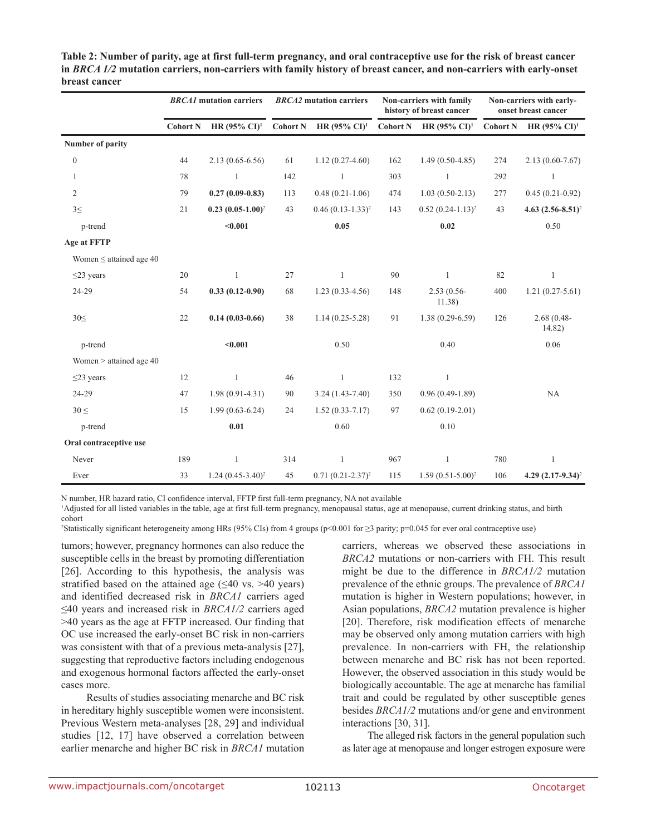|                              | <b>BRCA1</b> mutation carriers |                          | <b>BRCA2</b> mutation carriers |                          | Non-carriers with family<br>history of breast cancer |                          | Non-carriers with early-<br>onset breast cancer |                          |
|------------------------------|--------------------------------|--------------------------|--------------------------------|--------------------------|------------------------------------------------------|--------------------------|-------------------------------------------------|--------------------------|
|                              | <b>Cohort N</b>                | HR $(95\% \text{ CI})^1$ | <b>Cohort N</b>                | HR $(95\% \text{ CI})^1$ | <b>Cohort N</b>                                      | HR $(95\% \text{ CI})^1$ | <b>Cohort N</b>                                 | HR $(95\% \text{ CI})^1$ |
| Number of parity             |                                |                          |                                |                          |                                                      |                          |                                                 |                          |
| $\boldsymbol{0}$             | 44                             | $2.13(0.65-6.56)$        | 61                             | $1.12(0.27-4.60)$        | 162                                                  | $1.49(0.50-4.85)$        | 274                                             | $2.13(0.60 - 7.67)$      |
| 1                            | 78                             | $\mathbf{1}$             | 142                            | $\mathbf{1}$             | 303                                                  | $\mathbf{1}$             | 292                                             | $\mathbf{1}$             |
| $\overline{2}$               | 79                             | $0.27(0.09-0.83)$        | 113                            | $0.48(0.21-1.06)$        | 474                                                  | $1.03(0.50-2.13)$        | 277                                             | $0.45(0.21-0.92)$        |
| $3 \leq$                     | 21                             | $0.23 (0.05 - 1.00)^2$   | 43                             | $0.46 (0.13 - 1.33)^2$   | 143                                                  | $0.52(0.24-1.13)^2$      | 43                                              | 4.63 $(2.56-8.51)^2$     |
| p-trend                      |                                | $0.001$                  |                                | 0.05                     |                                                      | 0.02                     |                                                 | 0.50                     |
| <b>Age at FFTP</b>           |                                |                          |                                |                          |                                                      |                          |                                                 |                          |
| Women $\leq$ attained age 40 |                                |                          |                                |                          |                                                      |                          |                                                 |                          |
| $\leq$ 23 years              | 20                             | 1                        | 27                             | $\mathbf{1}$             | 90                                                   | $\mathbf{1}$             | 82                                              | 1                        |
| 24-29                        | 54                             | $0.33(0.12-0.90)$        | 68                             | $1.23(0.33-4.56)$        | 148                                                  | $2.53(0.56 -$<br>11.38)  | 400                                             | $1.21(0.27-5.61)$        |
| 30<                          | 22                             | $0.14(0.03-0.66)$        | 38                             | $1.14(0.25 - 5.28)$      | 91                                                   | $1.38(0.29 - 6.59)$      | 126                                             | $2.68(0.48 -$<br>14.82)  |
| p-trend                      |                                | < 0.001                  |                                | 0.50                     |                                                      | 0.40                     |                                                 | 0.06                     |
| Women > attained age 40      |                                |                          |                                |                          |                                                      |                          |                                                 |                          |
| $\leq$ 23 years              | 12                             | $\mathbf{1}$             | 46                             | $\mathbf{1}$             | 132                                                  | $\mathbf{1}$             |                                                 |                          |
| 24-29                        | 47                             | $1.98(0.91 - 4.31)$      | 90                             | $3.24(1.43-7.40)$        | 350                                                  | $0.96(0.49-1.89)$        |                                                 | NA                       |
| $30 \leq$                    | 15                             | $1.99(0.63 - 6.24)$      | 24                             | $1.52(0.33 - 7.17)$      | 97                                                   | $0.62(0.19-2.01)$        |                                                 |                          |
| p-trend                      |                                | $0.01\,$                 |                                | 0.60                     |                                                      | 0.10                     |                                                 |                          |
| Oral contraceptive use       |                                |                          |                                |                          |                                                      |                          |                                                 |                          |
| Never                        | 189                            | $\mathbf{1}$             | 314                            | $\mathbf{1}$             | 967                                                  | $\mathbf{1}$             | 780                                             | $\mathbf{1}$             |
| Ever                         | 33                             | $1.24 (0.45 - 3.40)^2$   | 45                             | $0.71 (0.21 - 2.37)^2$   | 115                                                  | $1.59(0.51-5.00)^2$      | 106                                             | 4.29 $(2.17-9.34)^2$     |

**Table 2: Number of parity, age at first full-term pregnancy, and oral contraceptive use for the risk of breast cancer in** *BRCA 1/2* **mutation carriers, non-carriers with family history of breast cancer, and non-carriers with early-onset breast cancer**

N number, HR hazard ratio, CI confidence interval, FFTP first full-term pregnancy, NA not available

1 Adjusted for all listed variables in the table, age at first full-term pregnancy, menopausal status, age at menopause, current drinking status, and birth cohort

2 Statistically significant heterogeneity among HRs (95% CIs) from 4 groups (p<0.001 for ≥3 parity; p=0.045 for ever oral contraceptive use)

tumors; however, pregnancy hormones can also reduce the susceptible cells in the breast by promoting differentiation [26]. According to this hypothesis, the analysis was stratified based on the attained age  $(\leq 40 \text{ vs. } > 40 \text{ years})$ and identified decreased risk in *BRCA1* carriers aged ≤40 years and increased risk in *BRCA1/2* carriers aged >40 years as the age at FFTP increased. Our finding that OC use increased the early-onset BC risk in non-carriers was consistent with that of a previous meta-analysis [27], suggesting that reproductive factors including endogenous and exogenous hormonal factors affected the early-onset cases more.

Results of studies associating menarche and BC risk in hereditary highly susceptible women were inconsistent. Previous Western meta-analyses [28, 29] and individual studies [12, 17] have observed a correlation between earlier menarche and higher BC risk in *BRCA1* mutation carriers, whereas we observed these associations in *BRCA2* mutations or non-carriers with FH. This result might be due to the difference in *BRCA1/2* mutation prevalence of the ethnic groups. The prevalence of *BRCA1* mutation is higher in Western populations; however, in Asian populations, *BRCA2* mutation prevalence is higher [20]. Therefore, risk modification effects of menarche may be observed only among mutation carriers with high prevalence. In non-carriers with FH, the relationship between menarche and BC risk has not been reported. However, the observed association in this study would be biologically accountable. The age at menarche has familial trait and could be regulated by other susceptible genes besides *BRCA1/2* mutations and/or gene and environment interactions [30, 31].

The alleged risk factors in the general population such as later age at menopause and longer estrogen exposure were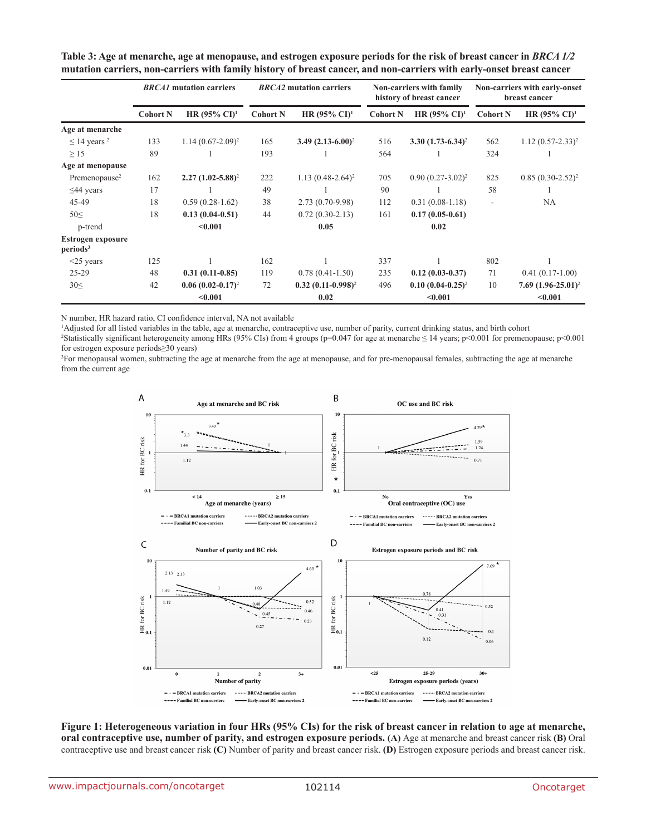|                                           | <b>BRCA1</b> mutation carriers |                          | <b>BRCA2</b> mutation carriers |                          | Non-carriers with family<br>history of breast cancer |                          | Non-carriers with early-onset<br>breast cancer |                          |
|-------------------------------------------|--------------------------------|--------------------------|--------------------------------|--------------------------|------------------------------------------------------|--------------------------|------------------------------------------------|--------------------------|
|                                           | <b>Cohort N</b>                | HR $(95\% \text{ CI})^1$ | <b>Cohort N</b>                | HR $(95\% \text{ CI})^1$ | <b>Cohort N</b>                                      | HR $(95\% \text{ CI})^1$ | <b>Cohort N</b>                                | HR $(95\% \text{ CI})^1$ |
| Age at menarche                           |                                |                          |                                |                          |                                                      |                          |                                                |                          |
| $\leq$ 14 years <sup>2</sup>              | 133                            | $1.14(0.67-2.09)^2$      | 165                            | 3.49 $(2.13-6.00)^2$     | 516                                                  | $3.30(1.73-6.34)^2$      | 562                                            | $1.12(0.57 - 2.33)^2$    |
| >15                                       | 89                             |                          | 193                            |                          | 564                                                  |                          | 324                                            |                          |
| Age at menopause                          |                                |                          |                                |                          |                                                      |                          |                                                |                          |
| Premenopause <sup>2</sup>                 | 162                            | $2.27(1.02 - 5.88)^2$    | 222                            | $1.13(0.48-2.64)^2$      | 705                                                  | $0.90 (0.27 - 3.02)^2$   | 825                                            | $0.85(0.30-2.52)^2$      |
| $\leq$ 44 years                           | 17                             |                          | 49                             |                          | 90                                                   |                          | 58                                             |                          |
| 45-49                                     | 18                             | $0.59(0.28-1.62)$        | 38                             | 2.73 (0.70-9.98)         | 112                                                  | $0.31(0.08-1.18)$        | $\overline{\phantom{a}}$                       | NA                       |
| $50 \leq$                                 | 18                             | $0.13(0.04-0.51)$        | 44                             | $0.72(0.30-2.13)$        | 161                                                  | $0.17(0.05-0.61)$        |                                                |                          |
| p-trend                                   |                                | < 0.001                  |                                | 0.05                     |                                                      | 0.02                     |                                                |                          |
| Estrogen exposure<br>periods <sup>3</sup> |                                |                          |                                |                          |                                                      |                          |                                                |                          |
| $<$ 25 years                              | 125                            |                          | 162                            |                          | 337                                                  |                          | 802                                            |                          |
| $25-29$                                   | 48                             | $0.31(0.11-0.85)$        | 119                            | $0.78(0.41-1.50)$        | 235                                                  | $0.12(0.03-0.37)$        | 71                                             | $0.41(0.17-1.00)$        |
| 30<                                       | 42                             | $0.06(0.02-0.17)^2$      | 72                             | $0.32 (0.11 - 0.998)^2$  | 496                                                  | $0.10 (0.04 - 0.25)^2$   | 10                                             | $7.69 (1.96 - 25.01)^2$  |
|                                           |                                | < 0.001                  | 0.02                           |                          |                                                      | < 0.001                  | < 0.001                                        |                          |

**Table 3: Age at menarche, age at menopause, and estrogen exposure periods for the risk of breast cancer in** *BRCA 1/2* **mutation carriers, non-carriers with family history of breast cancer, and non-carriers with early-onset breast cancer**

N number, HR hazard ratio, CI confidence interval, NA not available

1 Adjusted for all listed variables in the table, age at menarche, contraceptive use, number of parity, current drinking status, and birth cohort

 $^2$ Statistically significant heterogeneity among HRs (95% CIs) from 4 groups (p=0.047 for age at menarche  $\leq$  14 years; p<0.001 for premenopause; p<0.001 for estrogen exposure periods≥30 years)

3 For menopausal women, subtracting the age at menarche from the age at menopause, and for pre-menopausal females, subtracting the age at menarche from the current age



**Figure 1: Heterogeneous variation in four HRs (95% CIs) for the risk of breast cancer in relation to age at menarche, oral contraceptive use, number of parity, and estrogen exposure periods. (A)** Age at menarche and breast cancer risk **(B)** Oral contraceptive use and breast cancer risk **(C)** Number of parity and breast cancer risk. **(D)** Estrogen exposure periods and breast cancer risk.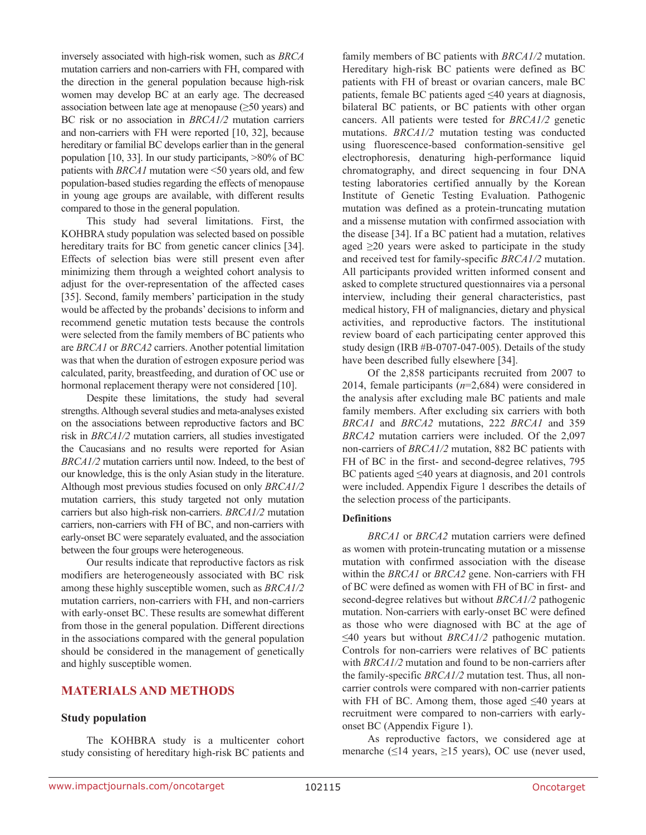inversely associated with high-risk women, such as *BRCA* mutation carriers and non-carriers with FH, compared with the direction in the general population because high-risk women may develop BC at an early age. The decreased association between late age at menopause  $(\geq 50 \text{ years})$  and BC risk or no association in *BRCA1/2* mutation carriers and non-carriers with FH were reported [10, 32], because hereditary or familial BC develops earlier than in the general population [10, 33]. In our study participants, >80% of BC patients with *BRCA1* mutation were <50 years old, and few population-based studies regarding the effects of menopause in young age groups are available, with different results compared to those in the general population.

This study had several limitations. First, the KOHBRA study population was selected based on possible hereditary traits for BC from genetic cancer clinics [34]. Effects of selection bias were still present even after minimizing them through a weighted cohort analysis to adjust for the over-representation of the affected cases [35]. Second, family members' participation in the study would be affected by the probands' decisions to inform and recommend genetic mutation tests because the controls were selected from the family members of BC patients who are *BRCA1* or *BRCA2* carriers. Another potential limitation was that when the duration of estrogen exposure period was calculated, parity, breastfeeding, and duration of OC use or hormonal replacement therapy were not considered [10].

Despite these limitations, the study had several strengths. Although several studies and meta-analyses existed on the associations between reproductive factors and BC risk in *BRCA1/2* mutation carriers, all studies investigated the Caucasians and no results were reported for Asian *BRCA1/2* mutation carriers until now. Indeed, to the best of our knowledge, this is the only Asian study in the literature. Although most previous studies focused on only *BRCA1/2* mutation carriers, this study targeted not only mutation carriers but also high-risk non-carriers. *BRCA1/2* mutation carriers, non-carriers with FH of BC, and non-carriers with early-onset BC were separately evaluated, and the association between the four groups were heterogeneous.

Our results indicate that reproductive factors as risk modifiers are heterogeneously associated with BC risk among these highly susceptible women, such as *BRCA1/2* mutation carriers, non-carriers with FH, and non-carriers with early-onset BC. These results are somewhat different from those in the general population. Different directions in the associations compared with the general population should be considered in the management of genetically and highly susceptible women.

# **MATERIALS AND METHODS**

#### **Study population**

The KOHBRA study is a multicenter cohort study consisting of hereditary high-risk BC patients and family members of BC patients with *BRCA1/2* mutation. Hereditary high-risk BC patients were defined as BC patients with FH of breast or ovarian cancers, male BC patients, female BC patients aged ≤40 years at diagnosis, bilateral BC patients, or BC patients with other organ cancers. All patients were tested for *BRCA1/2* genetic mutations. *BRCA1/2* mutation testing was conducted using fluorescence-based conformation-sensitive gel electrophoresis, denaturing high-performance liquid chromatography, and direct sequencing in four DNA testing laboratories certified annually by the Korean Institute of Genetic Testing Evaluation. Pathogenic mutation was defined as a protein-truncating mutation and a missense mutation with confirmed association with the disease [34]. If a BC patient had a mutation, relatives aged  $\geq$ 20 years were asked to participate in the study and received test for family-specific *BRCA1/2* mutation. All participants provided written informed consent and asked to complete structured questionnaires via a personal interview, including their general characteristics, past medical history, FH of malignancies, dietary and physical activities, and reproductive factors. The institutional review board of each participating center approved this study design (IRB #B-0707-047-005). Details of the study have been described fully elsewhere [34].

Of the 2,858 participants recruited from 2007 to 2014, female participants (*n*=2,684) were considered in the analysis after excluding male BC patients and male family members. After excluding six carriers with both *BRCA1* and *BRCA2* mutations, 222 *BRCA1* and 359 *BRCA2* mutation carriers were included. Of the 2,097 non-carriers of *BRCA1/2* mutation, 882 BC patients with FH of BC in the first- and second-degree relatives, 795 BC patients aged ≤40 years at diagnosis, and 201 controls were included. Appendix Figure 1 describes the details of the selection process of the participants.

#### **Definitions**

*BRCA1* or *BRCA2* mutation carriers were defined as women with protein-truncating mutation or a missense mutation with confirmed association with the disease within the *BRCA1* or *BRCA2* gene. Non-carriers with FH of BC were defined as women with FH of BC in first- and second-degree relatives but without *BRCA1/2* pathogenic mutation. Non-carriers with early-onset BC were defined as those who were diagnosed with BC at the age of ≤40 years but without *BRCA1/2* pathogenic mutation. Controls for non-carriers were relatives of BC patients with *BRCA1/2* mutation and found to be non-carriers after the family-specific *BRCA1/2* mutation test. Thus, all noncarrier controls were compared with non-carrier patients with FH of BC. Among them, those aged  $\leq 40$  years at recruitment were compared to non-carriers with earlyonset BC (Appendix Figure 1).

As reproductive factors, we considered age at menarche ( $\leq$ 14 years,  $\geq$ 15 years), OC use (never used,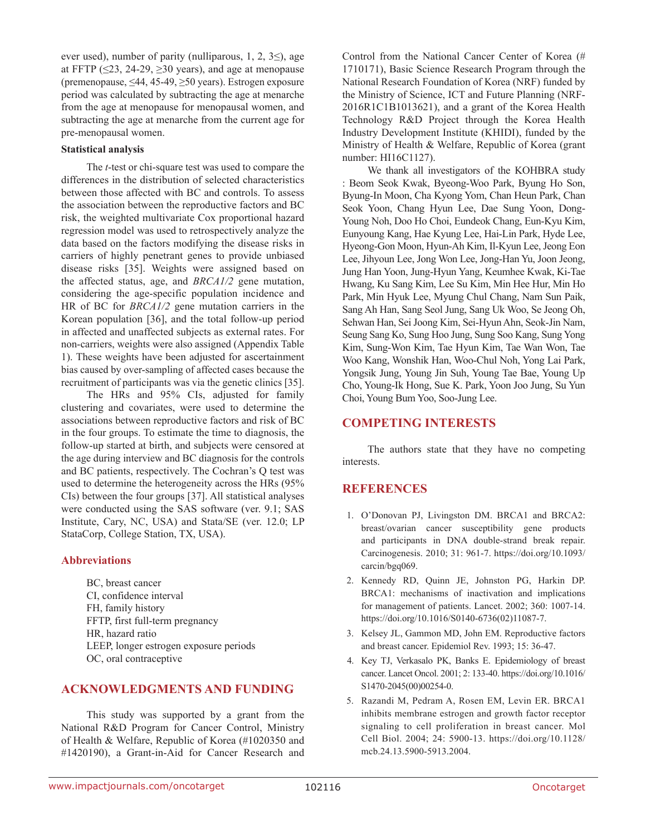ever used), number of parity (nulliparous,  $1, 2, 3 \leq$ ), age at FFTP ( $\leq$ 23, 24-29,  $\geq$ 30 years), and age at menopause (premenopause, ≤44, 45-49, ≥50 years). Estrogen exposure period was calculated by subtracting the age at menarche from the age at menopause for menopausal women, and subtracting the age at menarche from the current age for pre-menopausal women.

#### **Statistical analysis**

The *t*-test or chi-square test was used to compare the differences in the distribution of selected characteristics between those affected with BC and controls. To assess the association between the reproductive factors and BC risk, the weighted multivariate Cox proportional hazard regression model was used to retrospectively analyze the data based on the factors modifying the disease risks in carriers of highly penetrant genes to provide unbiased disease risks [35]. Weights were assigned based on the affected status, age, and *BRCA1/2* gene mutation, considering the age-specific population incidence and HR of BC for *BRCA1/2* gene mutation carriers in the Korean population [36], and the total follow-up period in affected and unaffected subjects as external rates. For non-carriers, weights were also assigned (Appendix Table 1). These weights have been adjusted for ascertainment bias caused by over-sampling of affected cases because the recruitment of participants was via the genetic clinics [35].

The HRs and 95% CIs, adjusted for family clustering and covariates, were used to determine the associations between reproductive factors and risk of BC in the four groups. To estimate the time to diagnosis, the follow-up started at birth, and subjects were censored at the age during interview and BC diagnosis for the controls and BC patients, respectively. The Cochran's Q test was used to determine the heterogeneity across the HRs (95% CIs) between the four groups [37]. All statistical analyses were conducted using the SAS software (ver. 9.1; SAS Institute, Cary, NC, USA) and Stata/SE (ver. 12.0; LP StataCorp, College Station, TX, USA).

## **Abbreviations**

BC, breast cancer CI, confidence interval FH, family history FFTP, first full-term pregnancy HR, hazard ratio LEEP, longer estrogen exposure periods OC, oral contraceptive

## **ACKNOWLEDGMENTS AND FUNDING**

This study was supported by a grant from the National R&D Program for Cancer Control, Ministry of Health & Welfare, Republic of Korea (#1020350 and #1420190), a Grant-in-Aid for Cancer Research and Control from the National Cancer Center of Korea (# 1710171), Basic Science Research Program through the National Research Foundation of Korea (NRF) funded by the Ministry of Science, ICT and Future Planning (NRF-2016R1C1B1013621), and a grant of the Korea Health Technology R&D Project through the Korea Health Industry Development Institute (KHIDI), funded by the Ministry of Health & Welfare, Republic of Korea (grant number: HI16C1127).

We thank all investigators of the KOHBRA study : Beom Seok Kwak, Byeong-Woo Park, Byung Ho Son, Byung-In Moon, Cha Kyong Yom, Chan Heun Park, Chan Seok Yoon, Chang Hyun Lee, Dae Sung Yoon, Dong-Young Noh, Doo Ho Choi, Eundeok Chang, Eun-Kyu Kim, Eunyoung Kang, Hae Kyung Lee, Hai-Lin Park, Hyde Lee, Hyeong-Gon Moon, Hyun-Ah Kim, Il-Kyun Lee, Jeong Eon Lee, Jihyoun Lee, Jong Won Lee, Jong-Han Yu, Joon Jeong, Jung Han Yoon, Jung-Hyun Yang, Keumhee Kwak, Ki-Tae Hwang, Ku Sang Kim, Lee Su Kim, Min Hee Hur, Min Ho Park, Min Hyuk Lee, Myung Chul Chang, Nam Sun Paik, Sang Ah Han, Sang Seol Jung, Sang Uk Woo, Se Jeong Oh, Sehwan Han, Sei Joong Kim, Sei-Hyun Ahn, Seok-Jin Nam, Seung Sang Ko, Sung Hoo Jung, Sung Soo Kang, Sung Yong Kim, Sung-Won Kim, Tae Hyun Kim, Tae Wan Won, Tae Woo Kang, Wonshik Han, Woo-Chul Noh, Yong Lai Park, Yongsik Jung, Young Jin Suh, Young Tae Bae, Young Up Cho, Young-Ik Hong, Sue K. Park, Yoon Joo Jung, Su Yun Choi, Young Bum Yoo, Soo-Jung Lee.

# **COMPETING INTERESTS**

The authors state that they have no competing interests.

# **REFERENCES**

- 1. O'Donovan PJ, Livingston DM. BRCA1 and BRCA2: breast/ovarian cancer susceptibility gene products and participants in DNA double-strand break repair. Carcinogenesis. 2010; 31: 961-7. [https://doi.org/10.1093/](https://doi.org/10.1093/carcin/bgq069) [carcin/bgq069](https://doi.org/10.1093/carcin/bgq069).
- 2. Kennedy RD, Quinn JE, Johnston PG, Harkin DP. BRCA1: mechanisms of inactivation and implications for management of patients. Lancet. 2002; 360: 1007-14. [https://doi.org/10.1016/S0140-6736\(02\)11087-7](https://doi.org/10.1016/S0140-6736(02)11087-7).
- 3. Kelsey JL, Gammon MD, John EM. Reproductive factors and breast cancer. Epidemiol Rev. 1993; 15: 36-47.
- 4. Key TJ, Verkasalo PK, Banks E. Epidemiology of breast cancer. Lancet Oncol. 2001; 2: 133-40. [https://doi.org/10.1016/](https://doi.org/10.1016/S1470-2045(00)00254-0) [S1470-2045\(00\)00254-0.](https://doi.org/10.1016/S1470-2045(00)00254-0)
- 5. Razandi M, Pedram A, Rosen EM, Levin ER. BRCA1 inhibits membrane estrogen and growth factor receptor signaling to cell proliferation in breast cancer. Mol Cell Biol. 2004; 24: 5900-13. [https://doi.org/10.1128/](https://doi.org/10.1128/mcb.24.13.5900-5913.2004) [mcb.24.13.5900-5913.2004](https://doi.org/10.1128/mcb.24.13.5900-5913.2004).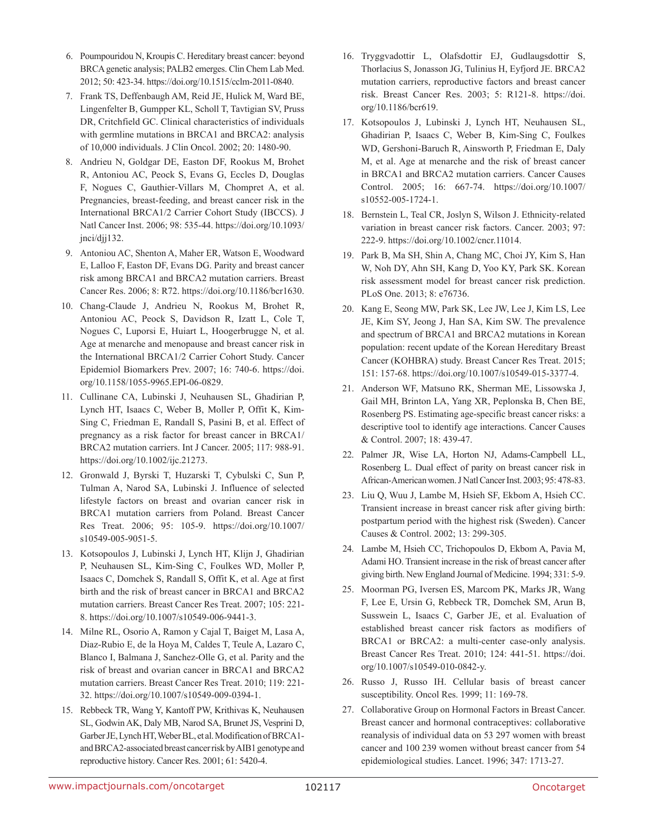- 6. Poumpouridou N, Kroupis C. Hereditary breast cancer: beyond BRCA genetic analysis; PALB2 emerges. Clin Chem Lab Med. 2012; 50: 423-34. <https://doi.org/10.1515/cclm-2011-0840>.
- 7. Frank TS, Deffenbaugh AM, Reid JE, Hulick M, Ward BE, Lingenfelter B, Gumpper KL, Scholl T, Tavtigian SV, Pruss DR, Critchfield GC. Clinical characteristics of individuals with germline mutations in BRCA1 and BRCA2: analysis of 10,000 individuals. J Clin Oncol. 2002; 20: 1480-90.
- 8. Andrieu N, Goldgar DE, Easton DF, Rookus M, Brohet R, Antoniou AC, Peock S, Evans G, Eccles D, Douglas F, Nogues C, Gauthier-Villars M, Chompret A, et al. Pregnancies, breast-feeding, and breast cancer risk in the International BRCA1/2 Carrier Cohort Study (IBCCS). J Natl Cancer Inst. 2006; 98: 535-44. [https://doi.org/10.1093/](https://doi.org/10.1093/jnci/djj132) [jnci/djj132](https://doi.org/10.1093/jnci/djj132).
- 9. Antoniou AC, Shenton A, Maher ER, Watson E, Woodward E, Lalloo F, Easton DF, Evans DG. Parity and breast cancer risk among BRCA1 and BRCA2 mutation carriers. Breast Cancer Res. 2006; 8: R72. <https://doi.org/10.1186/bcr1630>.
- 10. Chang-Claude J, Andrieu N, Rookus M, Brohet R, Antoniou AC, Peock S, Davidson R, Izatt L, Cole T, Nogues C, Luporsi E, Huiart L, Hoogerbrugge N, et al. Age at menarche and menopause and breast cancer risk in the International BRCA1/2 Carrier Cohort Study. Cancer Epidemiol Biomarkers Prev. 2007; 16: 740-6. [https://doi.](https://doi.org/10.1158/1055-9965.EPI-06-0829) [org/10.1158/1055-9965.EPI-06-0829](https://doi.org/10.1158/1055-9965.EPI-06-0829).
- 11. Cullinane CA, Lubinski J, Neuhausen SL, Ghadirian P, Lynch HT, Isaacs C, Weber B, Moller P, Offit K, Kim-Sing C, Friedman E, Randall S, Pasini B, et al. Effect of pregnancy as a risk factor for breast cancer in BRCA1/ BRCA2 mutation carriers. Int J Cancer. 2005; 117: 988-91. <https://doi.org/10.1002/ijc.21273>.
- 12. Gronwald J, Byrski T, Huzarski T, Cybulski C, Sun P, Tulman A, Narod SA, Lubinski J. Influence of selected lifestyle factors on breast and ovarian cancer risk in BRCA1 mutation carriers from Poland. Breast Cancer Res Treat. 2006; 95: 105-9. [https://doi.org/10.1007/](https://doi.org/10.1007/s10549-005-9051-5) [s10549-005-9051-5.](https://doi.org/10.1007/s10549-005-9051-5)
- 13. Kotsopoulos J, Lubinski J, Lynch HT, Klijn J, Ghadirian P, Neuhausen SL, Kim-Sing C, Foulkes WD, Moller P, Isaacs C, Domchek S, Randall S, Offit K, et al. Age at first birth and the risk of breast cancer in BRCA1 and BRCA2 mutation carriers. Breast Cancer Res Treat. 2007; 105: 221- 8. <https://doi.org/10.1007/s10549-006-9441-3>.
- 14. Milne RL, Osorio A, Ramon y Cajal T, Baiget M, Lasa A, Diaz-Rubio E, de la Hoya M, Caldes T, Teule A, Lazaro C, Blanco I, Balmana J, Sanchez-Olle G, et al. Parity and the risk of breast and ovarian cancer in BRCA1 and BRCA2 mutation carriers. Breast Cancer Res Treat. 2010; 119: 221- 32. <https://doi.org/10.1007/s10549-009-0394-1>.
- 15. Rebbeck TR, Wang Y, Kantoff PW, Krithivas K, Neuhausen SL, Godwin AK, Daly MB, Narod SA, Brunet JS, Vesprini D, Garber JE, Lynch HT, Weber BL, et al. Modification of BRCA1 and BRCA2-associated breast cancer risk by AIB1 genotype and reproductive history. Cancer Res. 2001; 61: 5420-4.
- 16. Tryggvadottir L, Olafsdottir EJ, Gudlaugsdottir S, Thorlacius S, Jonasson JG, Tulinius H, Eyfjord JE. BRCA2 mutation carriers, reproductive factors and breast cancer risk. Breast Cancer Res. 2003; 5: R121-8. [https://doi.](https://doi.org/10.1186/bcr619) [org/10.1186/bcr619](https://doi.org/10.1186/bcr619).
- 17. Kotsopoulos J, Lubinski J, Lynch HT, Neuhausen SL, Ghadirian P, Isaacs C, Weber B, Kim-Sing C, Foulkes WD, Gershoni-Baruch R, Ainsworth P, Friedman E, Daly M, et al. Age at menarche and the risk of breast cancer in BRCA1 and BRCA2 mutation carriers. Cancer Causes Control. 2005; 16: 667-74. [https://doi.org/10.1007/](https://doi.org/10.1007/s10552-005-1724-1) [s10552-005-1724-1](https://doi.org/10.1007/s10552-005-1724-1).
- 18. Bernstein L, Teal CR, Joslyn S, Wilson J. Ethnicity-related variation in breast cancer risk factors. Cancer. 2003; 97: 222-9. <https://doi.org/10.1002/cncr.11014>.
- 19. Park B, Ma SH, Shin A, Chang MC, Choi JY, Kim S, Han W, Noh DY, Ahn SH, Kang D, Yoo KY, Park SK. Korean risk assessment model for breast cancer risk prediction. PLoS One. 2013; 8: e76736.
- 20. Kang E, Seong MW, Park SK, Lee JW, Lee J, Kim LS, Lee JE, Kim SY, Jeong J, Han SA, Kim SW. The prevalence and spectrum of BRCA1 and BRCA2 mutations in Korean population: recent update of the Korean Hereditary Breast Cancer (KOHBRA) study. Breast Cancer Res Treat. 2015; 151: 157-68. <https://doi.org/10.1007/s10549-015-3377-4>.
- 21. Anderson WF, Matsuno RK, Sherman ME, Lissowska J, Gail MH, Brinton LA, Yang XR, Peplonska B, Chen BE, Rosenberg PS. Estimating age-specific breast cancer risks: a descriptive tool to identify age interactions. Cancer Causes & Control. 2007; 18: 439-47.
- 22. Palmer JR, Wise LA, Horton NJ, Adams-Campbell LL, Rosenberg L. Dual effect of parity on breast cancer risk in African-American women. J Natl Cancer Inst. 2003; 95: 478-83.
- 23. Liu Q, Wuu J, Lambe M, Hsieh SF, Ekbom A, Hsieh CC. Transient increase in breast cancer risk after giving birth: postpartum period with the highest risk (Sweden). Cancer Causes & Control. 2002; 13: 299-305.
- 24. Lambe M, Hsieh CC, Trichopoulos D, Ekbom A, Pavia M, Adami HO. Transient increase in the risk of breast cancer after giving birth. New England Journal of Medicine. 1994; 331: 5-9.
- 25. Moorman PG, Iversen ES, Marcom PK, Marks JR, Wang F, Lee E, Ursin G, Rebbeck TR, Domchek SM, Arun B, Susswein L, Isaacs C, Garber JE, et al. Evaluation of established breast cancer risk factors as modifiers of BRCA1 or BRCA2: a multi-center case-only analysis. Breast Cancer Res Treat. 2010; 124: 441-51. [https://doi.](https://doi.org/10.1007/s10549-010-0842-y) [org/10.1007/s10549-010-0842-y](https://doi.org/10.1007/s10549-010-0842-y).
- 26. Russo J, Russo IH. Cellular basis of breast cancer susceptibility. Oncol Res. 1999; 11: 169-78.
- 27. Collaborative Group on Hormonal Factors in Breast Cancer. Breast cancer and hormonal contraceptives: collaborative reanalysis of individual data on 53 297 women with breast cancer and 100 239 women without breast cancer from 54 epidemiological studies. Lancet. 1996; 347: 1713-27.